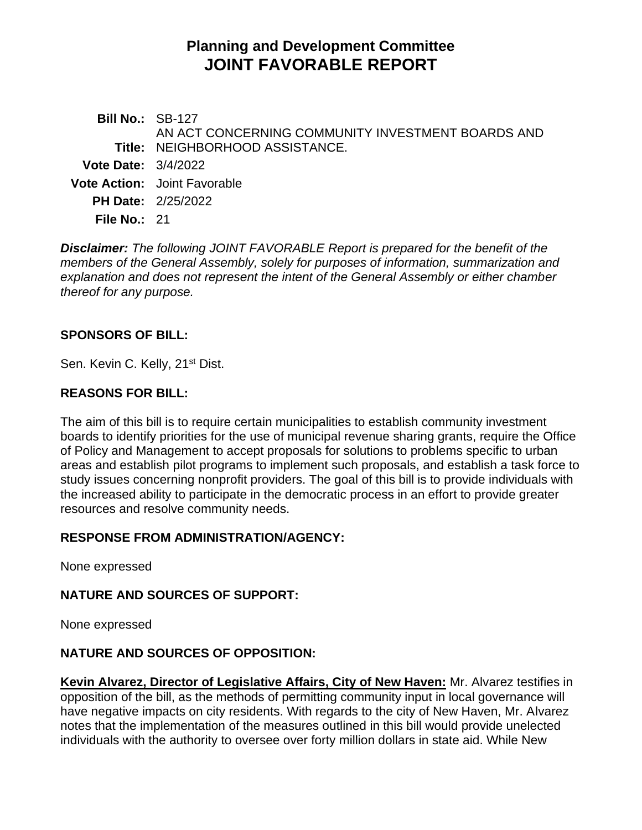# **Planning and Development Committee JOINT FAVORABLE REPORT**

**Bill No.:** SB-127 **Title:** NEIGHBORHOOD ASSISTANCE. AN ACT CONCERNING COMMUNITY INVESTMENT BOARDS AND **Vote Date:** 3/4/2022 **Vote Action:** Joint Favorable **PH Date:** 2/25/2022 **File No.:** 21

*Disclaimer: The following JOINT FAVORABLE Report is prepared for the benefit of the members of the General Assembly, solely for purposes of information, summarization and explanation and does not represent the intent of the General Assembly or either chamber thereof for any purpose.*

## **SPONSORS OF BILL:**

Sen. Kevin C. Kelly, 21<sup>st</sup> Dist.

### **REASONS FOR BILL:**

The aim of this bill is to require certain municipalities to establish community investment boards to identify priorities for the use of municipal revenue sharing grants, require the Office of Policy and Management to accept proposals for solutions to problems specific to urban areas and establish pilot programs to implement such proposals, and establish a task force to study issues concerning nonprofit providers. The goal of this bill is to provide individuals with the increased ability to participate in the democratic process in an effort to provide greater resources and resolve community needs.

### **RESPONSE FROM ADMINISTRATION/AGENCY:**

None expressed

### **NATURE AND SOURCES OF SUPPORT:**

None expressed

### **NATURE AND SOURCES OF OPPOSITION:**

**Kevin Alvarez, Director of Legislative Affairs, City of New Haven:** Mr. Alvarez testifies in opposition of the bill, as the methods of permitting community input in local governance will have negative impacts on city residents. With regards to the city of New Haven, Mr. Alvarez notes that the implementation of the measures outlined in this bill would provide unelected individuals with the authority to oversee over forty million dollars in state aid. While New